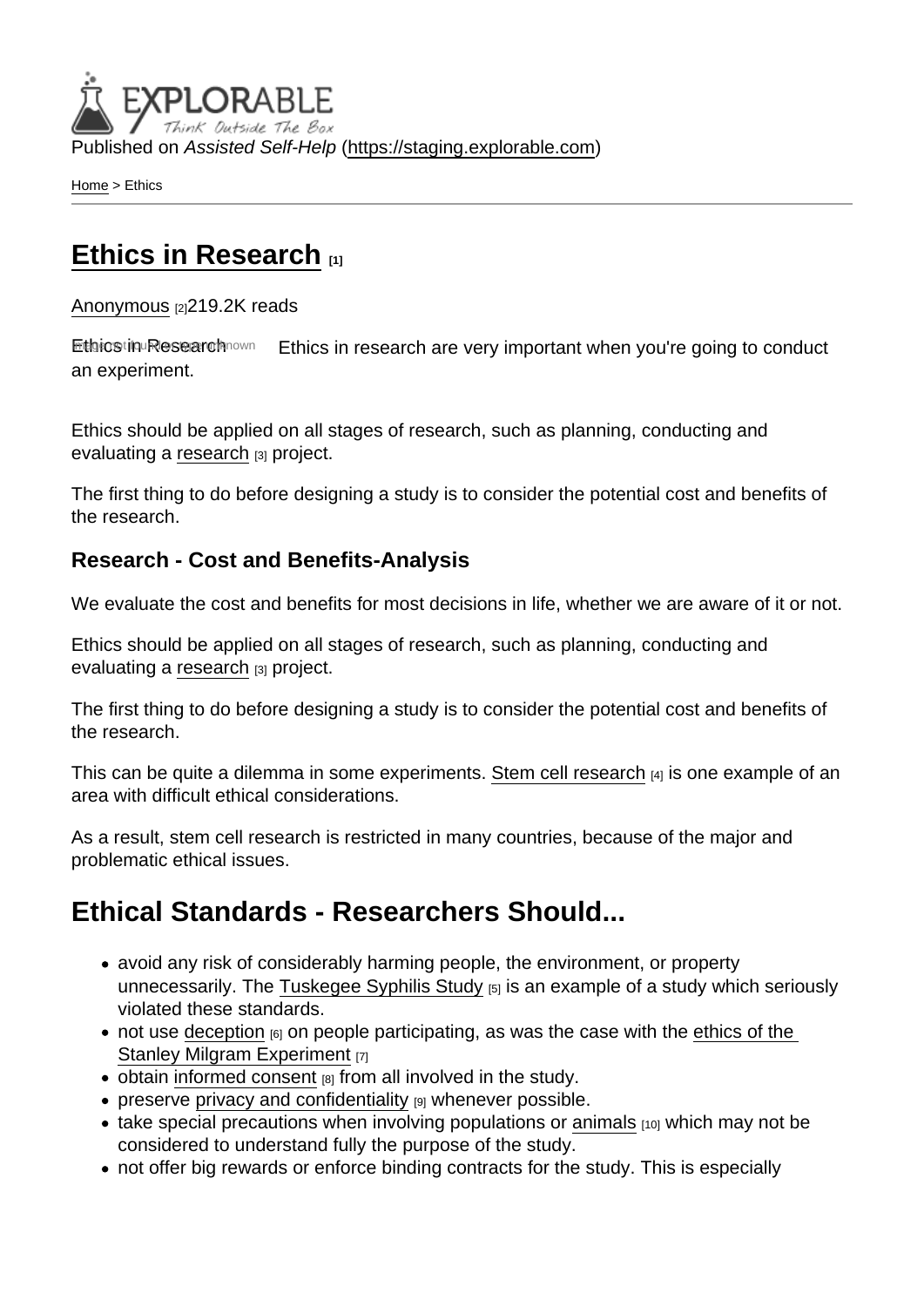Published on Assisted Self-Help [\(https://staging.explorable.com](https://staging.explorable.com))

[Home](https://staging.explorable.com/en) > Ethics

## [Ethics in Research](https://staging.explorable.com/en/ethics-in-research)  $\frac{1}{111}$

[Anonymous](https://staging.explorable.com/en/users/oskar) [2]219.2K reads

Ethics in Research Image in found in the search are very important when you're going to conduct an experiment.

Ethics should be applied on all stages of research, such as planning, conducting and evaluating a [research](https://staging.explorable.com/what-is-research) [3] project.

The first thing to do before designing a study is to consider the potential cost and benefits of the research.

Research - Cost and Benefits-Analysis

We evaluate the cost and benefits for most decisions in life, whether we are aware of it or not.

Ethics should be applied on all stages of research, such as planning, conducting and evaluating a [research](https://staging.explorable.com/what-is-research) [3] project.

The first thing to do before designing a study is to consider the potential cost and benefits of the research.

This can be quite a dilemma in some experiments. [Stem cell research](https://staging.explorable.com/stem-cell-pros-and-cons) [4] is one example of an area with difficult ethical considerations.

As a result, stem cell research is restricted in many countries, because of the major and problematic ethical issues.

## Ethical Standards - Researchers Should...

- avoid any risk of considerably harming people, the environment, or property unnecessarily. The [Tuskegee Syphilis Study](https://staging.explorable.com/tuskegee-syphilis-study) [5] is an example of a study which seriously violated these standards.
- $\bullet$  not use [deception](https://staging.explorable.com/deception-and-research)  $_{[6]}$  on people participating, as was the case with the ethics of the [Stanley Milgram Experiment](https://staging.explorable.com/milgram-experiment-ethics) [7]
- $\bullet$  obtain [informed consent](https://staging.explorable.com/informed-consent-policy)  $_{[8]}$  from all involved in the study.
- preserve [privacy and confidentiality](https://staging.explorable.com/privacy-in-research)  $[9]$  whenever possible.
- take special precautions when involving populations or [animals](https://staging.explorable.com/animals-in-research)  $[10]$  which may not be considered to understand fully the purpose of the study.
- not offer big rewards or enforce binding contracts for the study. This is especially